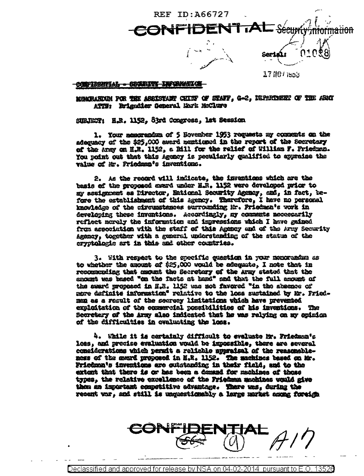

## 主要企业经工 CONFIDENTIAL - COGECULT

MOMORANDOM FOR THE ASSISTANT CHINF OF STAFF, G-2, DEPARTMENT OF THE ARRI ATTH: Rrigadier Separal Mark McClure

SIEJECT: H.R. 1152, Syrd Congress, lat Session

1. Your memorandum of 5 Hovember 1953 requests my compents on the adequacy of the \$25,000 swerd mentioned in the report of the Secretary of the Army on H.R. 1152, a Rill for the relief of William F. Priedman. You point out that this Agency is peculiarly qualified to spyraine the value of Mr. Priedman's inventions.

2. As the record will indicate, the inventions which are the basis of the proposed erard under H.R. 1152 were developed prior to my assignment as Director, Entional Scourity Agency, and, in fact, before the establishment of this agency. Therefore, I have no personal knowledge of the circumstances surrounding Mr. Priedman's vork in developing these inventions. Accordingly, my comments necessarily reflect morely the information and impressions which I have gained from association with the staff of this Agency and of the Army Security Agency, together with a general understanding of the status of the cryptologic art in this and other countries.

3. With respect to the specific quastion in your memorandus as to whether the azount of \$25,000 would be adequate. I note that in recommending that mount the Secretary of the Army stated that the emount was based "on the facts at hand" and that the full amount of the sward proposed in H.R. 1152 was not favored "in the absence of mere definite information" relative to the loss sustained by Mr. Priedman as a result of the secrecy limitations which have prevented exploitation of the economicl possibilities of his inventions. The Secretary of the Army also indicated that he was relying on my opinion of the difficulties in evaluating the loss.

4. While it is certainly difficult to evaluate Mr. Friedman's loss, and precise evaluation would be impossible, there are several considerations which permit a reliable appraisal of the reasonableness of the merd proposed in H.R. 1152. The machines based on Mr. Friedma's inventions are outstanding in their field, and to the extent that there is or has been a demand for muchines of these types, the relative excellence of the Friedman machines would give them an important competitive adventage. There was, during the recent var, and still is unquestionably a large murket among foreigh